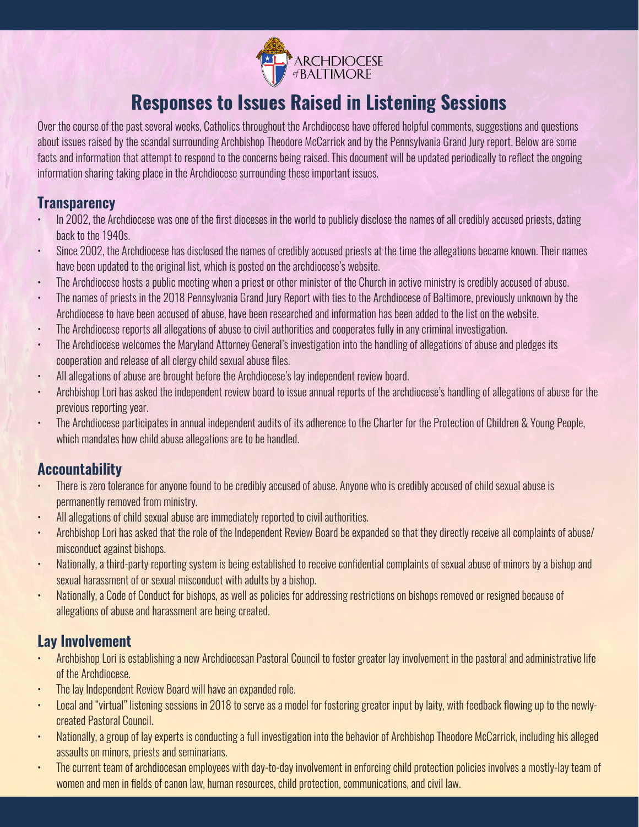

# **Responses to Issues Raised in Listening Sessions**

Over the course of the past several weeks, Catholics throughout the Archdiocese have offered helpful comments, suggestions and questions about issues raised by the scandal surrounding Archbishop Theodore McCarrick and by the Pennsylvania Grand Jury report. Below are some facts and information that attempt to respond to the concerns being raised. This document will be updated periodically to reflect the ongoing information sharing taking place in the Archdiocese surrounding these important issues.

#### **Transparency**

- In 2002, the Archdiocese was one of the first dioceses in the world to publicly disclose the names of all credibly accused priests, dating back to the 1940s.
- Since 2002, the Archdiocese has disclosed the names of credibly accused priests at the time the allegations became known. Their names have been updated to the original list, which is posted on the archdiocese's website.
- The Archdiocese hosts a public meeting when a priest or other minister of the Church in active ministry is credibly accused of abuse.
- The names of priests in the 2018 Pennsylvania Grand Jury Report with ties to the Archdiocese of Baltimore, previously unknown by the Archdiocese to have been accused of abuse, have been researched and information has been added to the list on the website.
- The Archdiocese reports all allegations of abuse to civil authorities and cooperates fully in any criminal investigation.
- The Archdiocese welcomes the Maryland Attorney General's investigation into the handling of allegations of abuse and pledges its cooperation and release of all clergy child sexual abuse files.
- All allegations of abuse are brought before the Archdiocese's lay independent review board.
- Archbishop Lori has asked the independent review board to issue annual reports of the archdiocese's handling of allegations of abuse for the previous reporting year.
- The Archdiocese participates in annual independent audits of its adherence to the Charter for the Protection of Children & Young People, which mandates how child abuse allegations are to be handled.

# **Accountability**

- There is zero tolerance for anyone found to be credibly accused of abuse. Anyone who is credibly accused of child sexual abuse is permanently removed from ministry.
- All allegations of child sexual abuse are immediately reported to civil authorities.
- Archbishop Lori has asked that the role of the Independent Review Board be expanded so that they directly receive all complaints of abuse/ misconduct against bishops.
- Nationally, a third-party reporting system is being established to receive confidential complaints of sexual abuse of minors by a bishop and sexual harassment of or sexual misconduct with adults by a bishop.
- Nationally, a Code of Conduct for bishops, as well as policies for addressing restrictions on bishops removed or resigned because of allegations of abuse and harassment are being created.

# **Lay Involvement**

- Archbishop Lori is establishing a new Archdiocesan Pastoral Council to foster greater lay involvement in the pastoral and administrative life of the Archdiocese.
- The lay Independent Review Board will have an expanded role.
- Local and "virtual" listening sessions in 2018 to serve as a model for fostering greater input by laity, with feedback flowing up to the newlycreated Pastoral Council.
- Nationally, a group of lay experts is conducting a full investigation into the behavior of Archbishop Theodore McCarrick, including his alleged assaults on minors, priests and seminarians.
- The current team of archdiocesan employees with day-to-day involvement in enforcing child protection policies involves a mostly-lay team of women and men in fields of canon law, human resources, child protection, communications, and civil law.